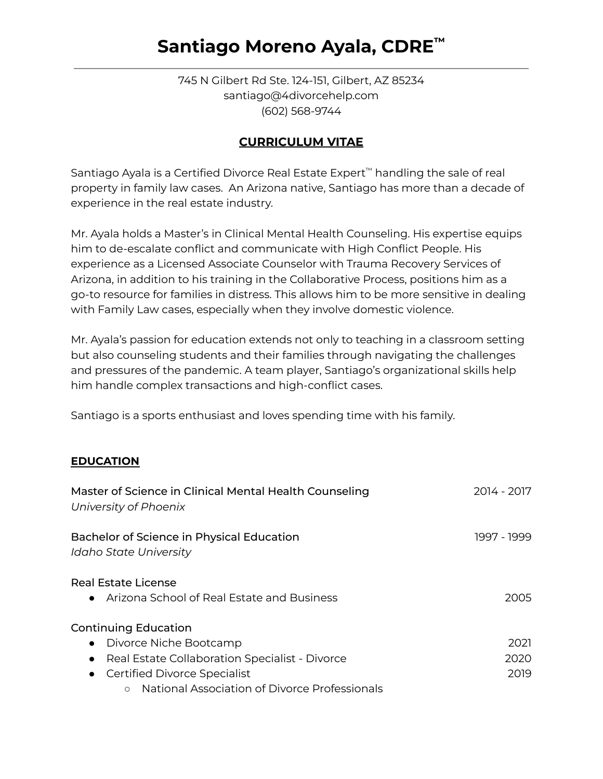# **Santiago Moreno Ayala, CDRE ™**

745 N Gilbert Rd Ste. 124-151, Gilbert, AZ 85234 santiago@4divorcehelp.com (602) 568-9744

### **CURRICULUM VITAE**

Santiago Ayala is a Certified Divorce Real Estate Expert™ handling the sale of real property in family law cases. An Arizona native, Santiago has more than a decade of experience in the real estate industry.

Mr. Ayala holds a Master's in Clinical Mental Health Counseling. His expertise equips him to de-escalate conflict and communicate with High Conflict People. His experience as a Licensed Associate Counselor with Trauma Recovery Services of Arizona, in addition to his training in the Collaborative Process, positions him as a go-to resource for families in distress. This allows him to be more sensitive in dealing with Family Law cases, especially when they involve domestic violence.

Mr. Ayala's passion for education extends not only to teaching in a classroom setting but also counseling students and their families through navigating the challenges and pressures of the pandemic. A team player, Santiago's organizational skills help him handle complex transactions and high-conflict cases.

Santiago is a sports enthusiast and loves spending time with his family.

### **EDUCATION**

| Master of Science in Clinical Mental Health Counseling<br>University of Phoenix | 2014 - 2017 |
|---------------------------------------------------------------------------------|-------------|
| Bachelor of Science in Physical Education<br>Idaho State University             | 1997 - 1999 |
| Real Estate License<br>• Arizona School of Real Estate and Business             | 2005        |
| <b>Continuing Education</b>                                                     |             |
| • Divorce Niche Bootcamp                                                        | 2021        |
| Real Estate Collaboration Specialist - Divorce<br>$\bullet$                     | 2020        |
| <b>Certified Divorce Specialist</b><br>$\bullet$                                | 2019        |
| National Association of Divorce Professionals<br>$\circ$                        |             |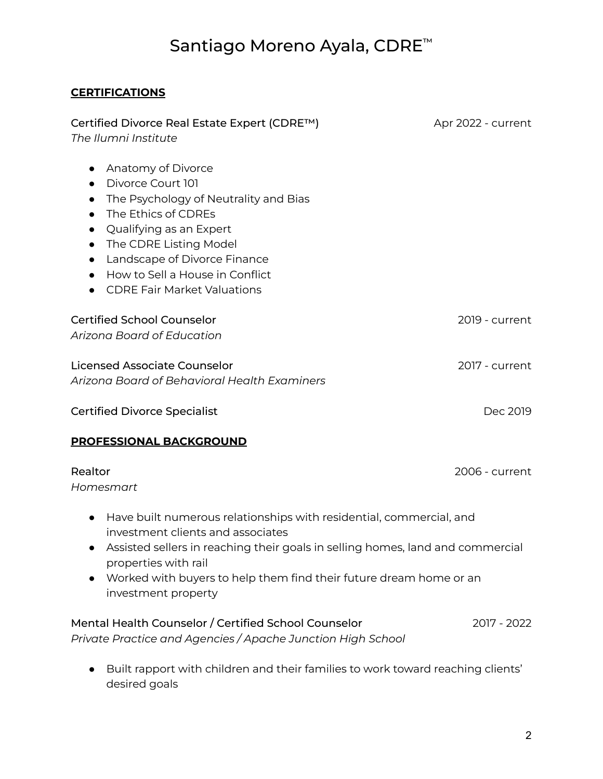## Santiago Moreno Ayala, CDRE ™

### **CERTIFICATIONS**

| Certified Divorce Real Estate Expert (CDRE™)<br>The Ilumni Institute                                                                                                                                                                                                                                                                                                                       | Apr 2022 - current |
|--------------------------------------------------------------------------------------------------------------------------------------------------------------------------------------------------------------------------------------------------------------------------------------------------------------------------------------------------------------------------------------------|--------------------|
| Anatomy of Divorce<br>$\bullet$<br>Divorce Court 101<br>$\bullet$<br>The Psychology of Neutrality and Bias<br>$\bullet$<br>The Ethics of CDREs<br>$\bullet$<br>Qualifying as an Expert<br>$\bullet$<br>The CDRE Listing Model<br>$\bullet$<br>Landscape of Divorce Finance<br>$\bullet$<br>How to Sell a House in Conflict<br>$\bullet$<br><b>CDRE Fair Market Valuations</b><br>$\bullet$ |                    |
| <b>Certified School Counselor</b><br>Arizona Board of Education                                                                                                                                                                                                                                                                                                                            | 2019 - current     |
| <b>Licensed Associate Counselor</b><br>Arizona Board of Behavioral Health Examiners                                                                                                                                                                                                                                                                                                        | 2017 - current     |
| <b>Certified Divorce Specialist</b>                                                                                                                                                                                                                                                                                                                                                        | Dec 2019           |
| <b>PROFESSIONAL BACKGROUND</b>                                                                                                                                                                                                                                                                                                                                                             |                    |
| Realtor<br>Homesmart                                                                                                                                                                                                                                                                                                                                                                       | 2006 - current     |
| Have built numerous relationships with residential, commercial, and<br>$\bullet$<br>investment clients and associates<br>Assisted sellers in reaching their goals in selling homes, land and commercial<br>properties with rail<br>Worked with buyers to help them find their future dream home or an<br>investment property                                                               |                    |
| Mental Health Counselor / Certified School Counselor<br>Private Practice and Agencies / Apache Junction High School                                                                                                                                                                                                                                                                        | 2017 - 2022        |
| Built rapport with children and their families to work toward reaching clients'<br>desired goals                                                                                                                                                                                                                                                                                           |                    |